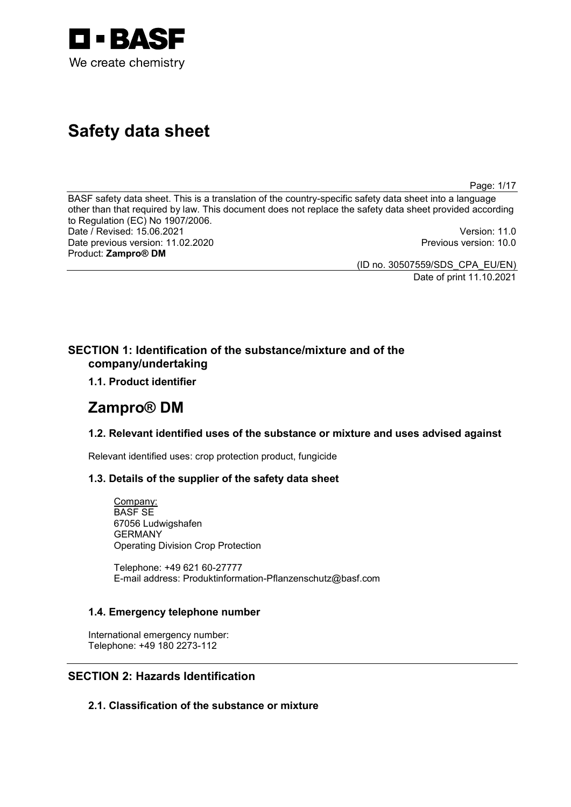

# **Safety data sheet**

Page: 1/17

BASF safety data sheet. This is a translation of the country-specific safety data sheet into a language other than that required by law. This document does not replace the safety data sheet provided according to Regulation (EC) No 1907/2006. Date / Revised: 15.06.2021 Version: 11.0 Date previous version: 11.02.2020 Previous version: 10.0 Product: **Zampro® DM** 

(ID no. 30507559/SDS\_CPA\_EU/EN)

Date of print 11.10.2021

# **SECTION 1: Identification of the substance/mixture and of the company/undertaking**

**1.1. Product identifier**

# **Zampro® DM**

# **1.2. Relevant identified uses of the substance or mixture and uses advised against**

Relevant identified uses: crop protection product, fungicide

# **1.3. Details of the supplier of the safety data sheet**

Company: BASF SE 67056 Ludwigshafen GERMANY Operating Division Crop Protection

Telephone: +49 621 60-27777 E-mail address: Produktinformation-Pflanzenschutz@basf.com

# **1.4. Emergency telephone number**

International emergency number: Telephone: +49 180 2273-112

# **SECTION 2: Hazards Identification**

**2.1. Classification of the substance or mixture**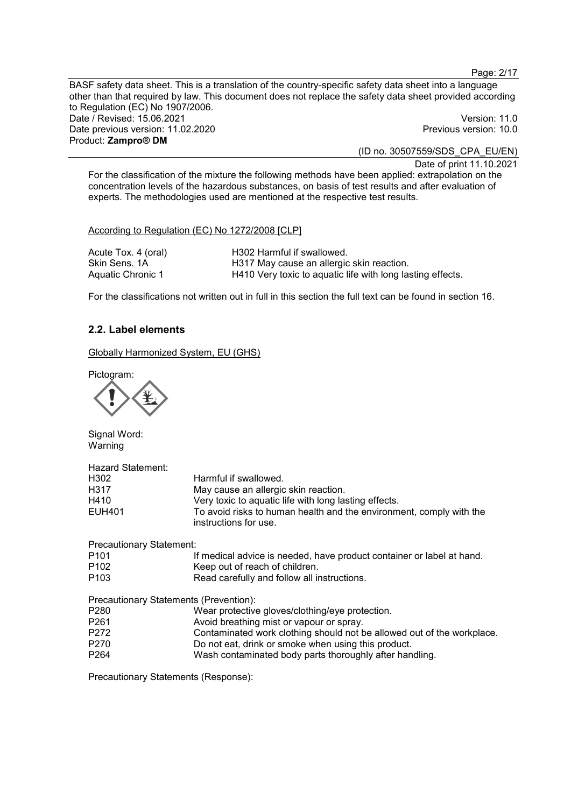Page: 2/17

BASF safety data sheet. This is a translation of the country-specific safety data sheet into a language other than that required by law. This document does not replace the safety data sheet provided according to Regulation (EC) No 1907/2006. Date / Revised: 15.06.2021 Version: 11.0 Date previous version: 11.02.2020 **Previous version: 10.0** Previous version: 10.0 Product: **Zampro® DM** 

(ID no. 30507559/SDS\_CPA\_EU/EN)

Date of print 11.10.2021

For the classification of the mixture the following methods have been applied: extrapolation on the concentration levels of the hazardous substances, on basis of test results and after evaluation of experts. The methodologies used are mentioned at the respective test results.

According to Regulation (EC) No 1272/2008 [CLP]

| Acute Tox. 4 (oral) | H302 Harmful if swallowed.                                 |
|---------------------|------------------------------------------------------------|
| Skin Sens, 1A       | H317 May cause an allergic skin reaction.                  |
| Aquatic Chronic 1   | H410 Very toxic to aquatic life with long lasting effects. |

For the classifications not written out in full in this section the full text can be found in section 16.

# **2.2. Label elements**

Globally Harmonized System, EU (GHS)

Pictogram:



Signal Word: Warning

| <b>Hazard Statement:</b> |                                                                                              |
|--------------------------|----------------------------------------------------------------------------------------------|
| H <sub>302</sub>         | Harmful if swallowed.                                                                        |
| H317                     | May cause an allergic skin reaction.                                                         |
| H410                     | Very toxic to aquatic life with long lasting effects.                                        |
| EUH401                   | To avoid risks to human health and the environment, comply with the<br>instructions for use. |

| <b>Precautionary Statement:</b> |                                                                        |
|---------------------------------|------------------------------------------------------------------------|
| P <sub>101</sub>                | If medical advice is needed, have product container or label at hand.  |
| P <sub>102</sub>                | Keep out of reach of children.                                         |
| P <sub>103</sub>                | Read carefully and follow all instructions.                            |
|                                 | Precautionary Statements (Prevention):                                 |
| P <sub>280</sub>                | Wear protective gloves/clothing/eye protection.                        |
| P <sub>261</sub>                | Avoid breathing mist or vapour or spray.                               |
| P <sub>272</sub>                | Contaminated work clothing should not be allowed out of the workplace. |
| P <sub>270</sub>                | Do not eat, drink or smoke when using this product.                    |
| P <sub>264</sub>                | Wash contaminated body parts thoroughly after handling.                |

Precautionary Statements (Response):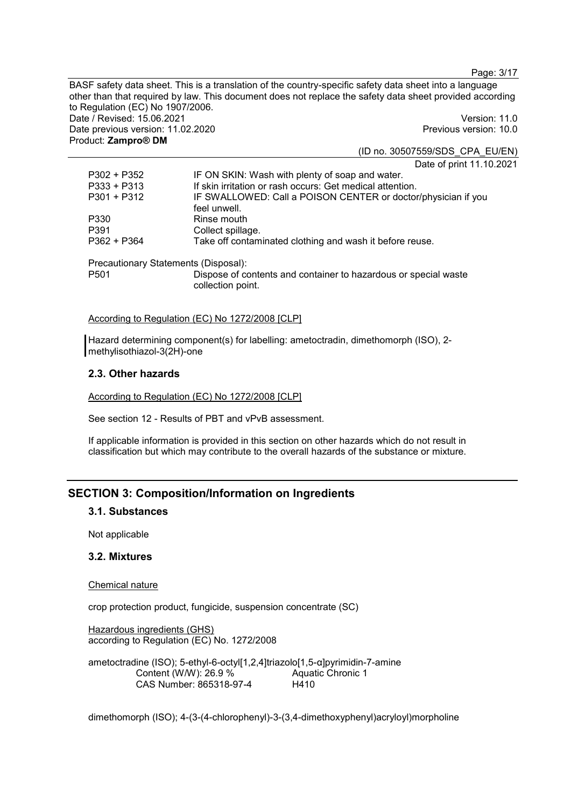Page: 3/17

BASF safety data sheet. This is a translation of the country-specific safety data sheet into a language other than that required by law. This document does not replace the safety data sheet provided according to Regulation (EC) No 1907/2006. Date / Revised: 15.06.2021 Version: 11.0 Date previous version: 11.02.2020 **Previous version: 10.0** Product: **Zampro® DM**  (ID no. 30507559/SDS\_CPA\_EU/EN)

Date of print 11.10.2021 P302 + P352 IF ON SKIN: Wash with plenty of soap and water. P333 + P313 If skin irritation or rash occurs: Get medical attention. P301 + P312 IF SWALLOWED: Call a POISON CENTER or doctor/physician if you feel unwell. P330 Rinse mouth<br>P391 Collect spillar P391 Collect spillage.<br>P362 + P364 Take off contam Take off contaminated clothing and wash it before reuse. Precautionary Statements (Disposal): P501 Dispose of contents and container to hazardous or special waste collection point.

According to Regulation (EC) No 1272/2008 [CLP]

Hazard determining component(s) for labelling: ametoctradin, dimethomorph (ISO), 2 methylisothiazol-3(2H)-one

# **2.3. Other hazards**

According to Regulation (EC) No 1272/2008 [CLP]

See section 12 - Results of PBT and vPvB assessment.

If applicable information is provided in this section on other hazards which do not result in classification but which may contribute to the overall hazards of the substance or mixture.

# **SECTION 3: Composition/Information on Ingredients**

### **3.1. Substances**

Not applicable

### **3.2. Mixtures**

#### Chemical nature

crop protection product, fungicide, suspension concentrate (SC)

Hazardous ingredients (GHS) according to Regulation (EC) No. 1272/2008

ametoctradine (ISO); 5-ethyl-6-octyl[1,2,4]triazolo[1,5-α]pyrimidin-7-amine Content (W/W): 26.9 % CAS Number: 865318-97-4 Aquatic Chronic 1 H410

dimethomorph (ISO); 4-(3-(4-chlorophenyl)-3-(3,4-dimethoxyphenyl)acryloyl)morpholine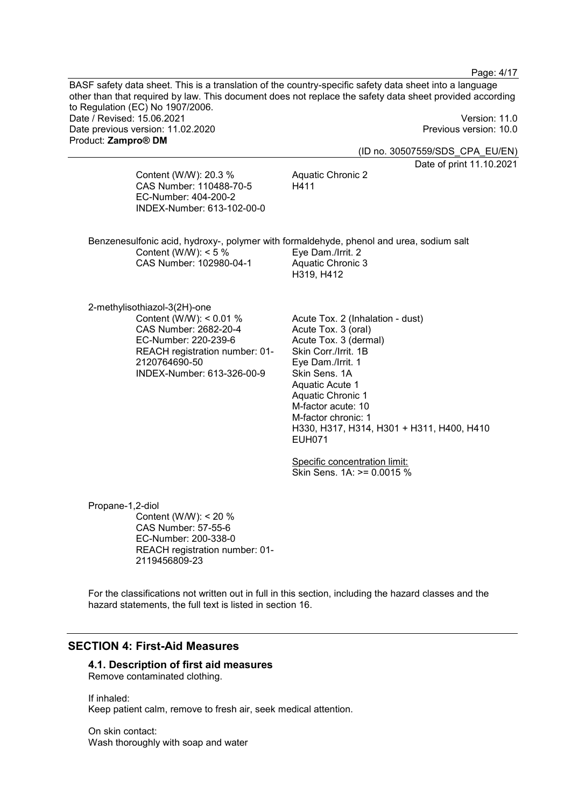BASF safety data sheet. This is a translation of the country-specific safety data sheet into a language other than that required by law. This document does not replace the safety data sheet provided according to Regulation (EC) No 1907/2006. Date / Revised: 15.06.2021 Version: 11.0 Date previous version: 11.02.2020 **Previous version: 10.0** Previous version: 10.0 Product: **Zampro® DM**  (ID no. 30507559/SDS\_CPA\_EU/EN) Date of print 11.10.2021 Content (W/W): 20.3 % CAS Number: 110488-70-5 EC-Number: 404-200-2 INDEX-Number: 613-102-00-0 Aquatic Chronic 2 H411 Benzenesulfonic acid, hydroxy-, polymer with formaldehyde, phenol and urea, sodium salt Content (W/W):  $< 5 \%$ CAS Number: 102980-04-1 Eye Dam./Irrit. 2 Aquatic Chronic 3 H319, H412 2-methylisothiazol-3(2H)-one Content (W/W): < 0.01 % CAS Number: 2682-20-4 EC-Number: 220-239-6 REACH registration number: 01- 2120764690-50 INDEX-Number: 613-326-00-9 Acute Tox. 2 (Inhalation - dust) Acute Tox. 3 (oral) Acute Tox. 3 (dermal) Skin Corr./Irrit. 1B Eye Dam./Irrit. 1 Skin Sens. 1A Aquatic Acute 1 Aquatic Chronic 1 M-factor acute: 10 M-factor chronic: 1 H330, H317, H314, H301 + H311, H400, H410 EUH071 Specific concentration limit: Skin Sens. 1A: >= 0.0015 % Propane-1,2-diol Content (W/W): < 20 % CAS Number: 57-55-6 EC-Number: 200-338-0 REACH registration number: 01- 2119456809-23 For the classifications not written out in full in this section, including the hazard classes and the hazard statements, the full text is listed in section 16.

Page: 4/17

# **SECTION 4: First-Aid Measures**

#### **4.1. Description of first aid measures**  Remove contaminated clothing.

If inhaled: Keep patient calm, remove to fresh air, seek medical attention.

On skin contact: Wash thoroughly with soap and water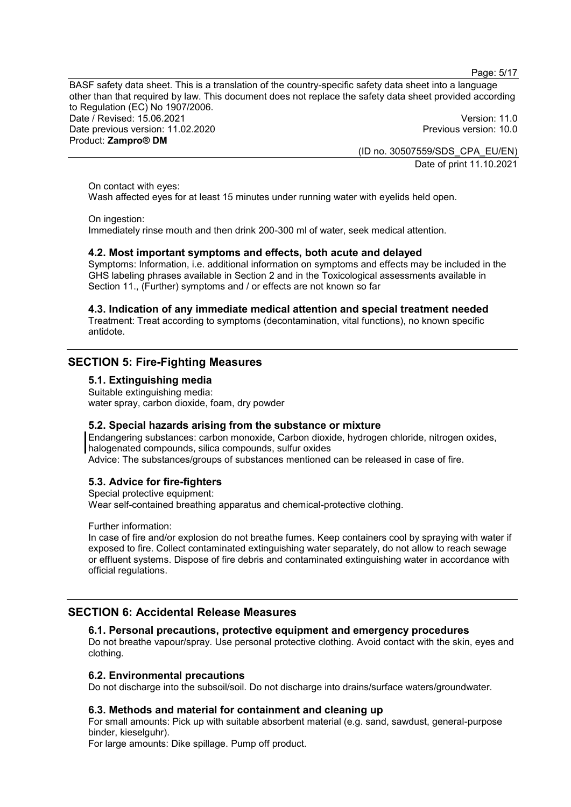Page: 5/17

BASF safety data sheet. This is a translation of the country-specific safety data sheet into a language other than that required by law. This document does not replace the safety data sheet provided according to Regulation (EC) No 1907/2006. Date / Revised: 15.06.2021 Version: 11.0 Date previous version: 11.02.2020 **Previous version: 10.0** Product: **Zampro® DM** 

(ID no. 30507559/SDS\_CPA\_EU/EN) Date of print 11.10.2021

On contact with eyes:

Wash affected eyes for at least 15 minutes under running water with eyelids held open.

On ingestion:

Immediately rinse mouth and then drink 200-300 ml of water, seek medical attention.

### **4.2. Most important symptoms and effects, both acute and delayed**

Symptoms: Information, i.e. additional information on symptoms and effects may be included in the GHS labeling phrases available in Section 2 and in the Toxicological assessments available in Section 11., (Further) symptoms and / or effects are not known so far

# **4.3. Indication of any immediate medical attention and special treatment needed**

Treatment: Treat according to symptoms (decontamination, vital functions), no known specific antidote.

# **SECTION 5: Fire-Fighting Measures**

### **5.1. Extinguishing media**

Suitable extinguishing media: water spray, carbon dioxide, foam, dry powder

### **5.2. Special hazards arising from the substance or mixture**

Endangering substances: carbon monoxide, Carbon dioxide, hydrogen chloride, nitrogen oxides, halogenated compounds, silica compounds, sulfur oxides Advice: The substances/groups of substances mentioned can be released in case of fire.

# **5.3. Advice for fire-fighters**

Special protective equipment:

Wear self-contained breathing apparatus and chemical-protective clothing.

Further information:

In case of fire and/or explosion do not breathe fumes. Keep containers cool by spraying with water if exposed to fire. Collect contaminated extinguishing water separately, do not allow to reach sewage or effluent systems. Dispose of fire debris and contaminated extinguishing water in accordance with official regulations.

# **SECTION 6: Accidental Release Measures**

# **6.1. Personal precautions, protective equipment and emergency procedures**

Do not breathe vapour/spray. Use personal protective clothing. Avoid contact with the skin, eyes and clothing.

# **6.2. Environmental precautions**

Do not discharge into the subsoil/soil. Do not discharge into drains/surface waters/groundwater.

# **6.3. Methods and material for containment and cleaning up**

For small amounts: Pick up with suitable absorbent material (e.g. sand, sawdust, general-purpose binder, kieselguhr).

For large amounts: Dike spillage. Pump off product.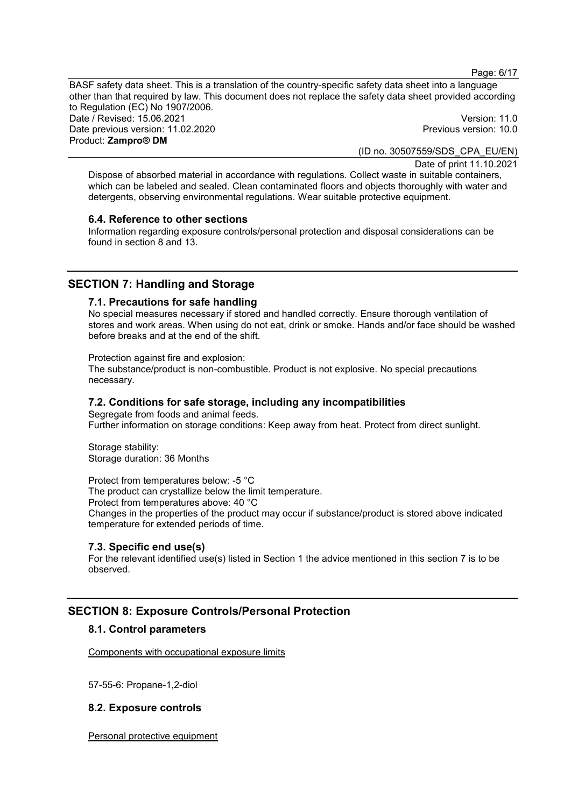Page: 6/17

BASF safety data sheet. This is a translation of the country-specific safety data sheet into a language other than that required by law. This document does not replace the safety data sheet provided according to Regulation (EC) No 1907/2006. Date / Revised: 15.06.2021 Version: 11.0 Date previous version: 11.02.2020 Previous version: 10.0 Product: **Zampro® DM** 

(ID no. 30507559/SDS\_CPA\_EU/EN)

Date of print 11.10.2021

Dispose of absorbed material in accordance with regulations. Collect waste in suitable containers, which can be labeled and sealed. Clean contaminated floors and objects thoroughly with water and detergents, observing environmental regulations. Wear suitable protective equipment.

#### **6.4. Reference to other sections**

Information regarding exposure controls/personal protection and disposal considerations can be found in section 8 and 13.

# **SECTION 7: Handling and Storage**

# **7.1. Precautions for safe handling**

No special measures necessary if stored and handled correctly. Ensure thorough ventilation of stores and work areas. When using do not eat, drink or smoke. Hands and/or face should be washed before breaks and at the end of the shift.

Protection against fire and explosion:

The substance/product is non-combustible. Product is not explosive. No special precautions necessary.

# **7.2. Conditions for safe storage, including any incompatibilities**

Segregate from foods and animal feeds. Further information on storage conditions: Keep away from heat. Protect from direct sunlight.

Storage stability: Storage duration: 36 Months

Protect from temperatures below: -5 °C The product can crystallize below the limit temperature. Protect from temperatures above: 40 °C Changes in the properties of the product may occur if substance/product is stored above indicated temperature for extended periods of time.

### **7.3. Specific end use(s)**

For the relevant identified use(s) listed in Section 1 the advice mentioned in this section 7 is to be observed.

# **SECTION 8: Exposure Controls/Personal Protection**

# **8.1. Control parameters**

Components with occupational exposure limits

57-55-6: Propane-1,2-diol

### **8.2. Exposure controls**

Personal protective equipment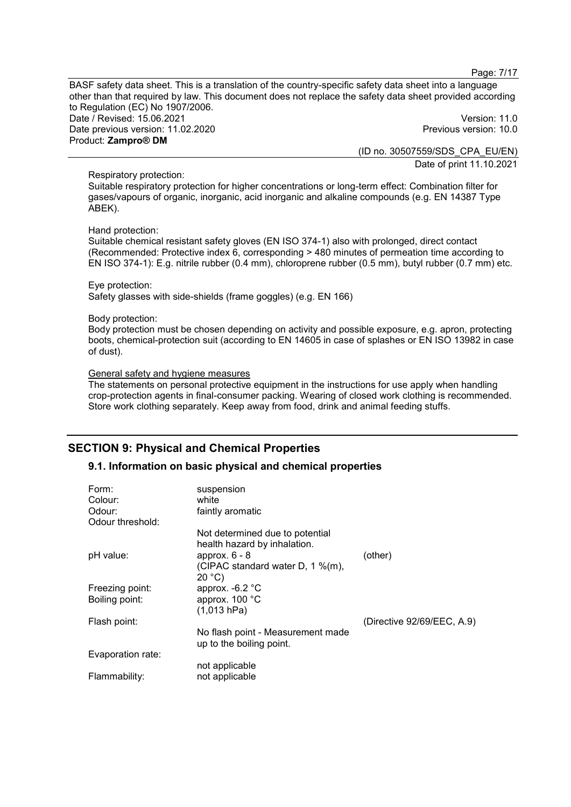Page: 7/17

BASF safety data sheet. This is a translation of the country-specific safety data sheet into a language other than that required by law. This document does not replace the safety data sheet provided according to Regulation (EC) No 1907/2006. Date / Revised: 15.06.2021 Version: 11.0 Date previous version: 11.02.2020 Previous version: 10.0 Product: **Zampro® DM** 

(ID no. 30507559/SDS\_CPA\_EU/EN)

Date of print 11.10.2021

# Respiratory protection:

Suitable respiratory protection for higher concentrations or long-term effect: Combination filter for gases/vapours of organic, inorganic, acid inorganic and alkaline compounds (e.g. EN 14387 Type ABEK).

#### Hand protection:

Suitable chemical resistant safety gloves (EN ISO 374-1) also with prolonged, direct contact (Recommended: Protective index 6, corresponding > 480 minutes of permeation time according to EN ISO 374-1): E.g. nitrile rubber (0.4 mm), chloroprene rubber (0.5 mm), butyl rubber (0.7 mm) etc.

# Eye protection:

Safety glasses with side-shields (frame goggles) (e.g. EN 166)

#### Body protection:

Body protection must be chosen depending on activity and possible exposure, e.g. apron, protecting boots, chemical-protection suit (according to EN 14605 in case of splashes or EN ISO 13982 in case of dust).

### General safety and hygiene measures

The statements on personal protective equipment in the instructions for use apply when handling crop-protection agents in final-consumer packing. Wearing of closed work clothing is recommended. Store work clothing separately. Keep away from food, drink and animal feeding stuffs.

# **SECTION 9: Physical and Chemical Properties**

# **9.1. Information on basic physical and chemical properties**

| Form:<br>Colour:<br>Odour:        | suspension<br>white<br>faintly aromatic                                            |                            |
|-----------------------------------|------------------------------------------------------------------------------------|----------------------------|
| Odour threshold:                  |                                                                                    |                            |
|                                   | Not determined due to potential<br>health hazard by inhalation.<br>approx. $6 - 8$ | (other)                    |
| pH value:                         | (CIPAC standard water D, 1 %(m),<br>20 °C                                          |                            |
| Freezing point:<br>Boiling point: | approx. $-6.2$ °C<br>approx. 100 °C<br>(1,013 hPa)                                 |                            |
| Flash point:                      |                                                                                    | (Directive 92/69/EEC, A.9) |
|                                   | No flash point - Measurement made<br>up to the boiling point.                      |                            |
| Evaporation rate:                 |                                                                                    |                            |
|                                   | not applicable                                                                     |                            |
| Flammability:                     | not applicable                                                                     |                            |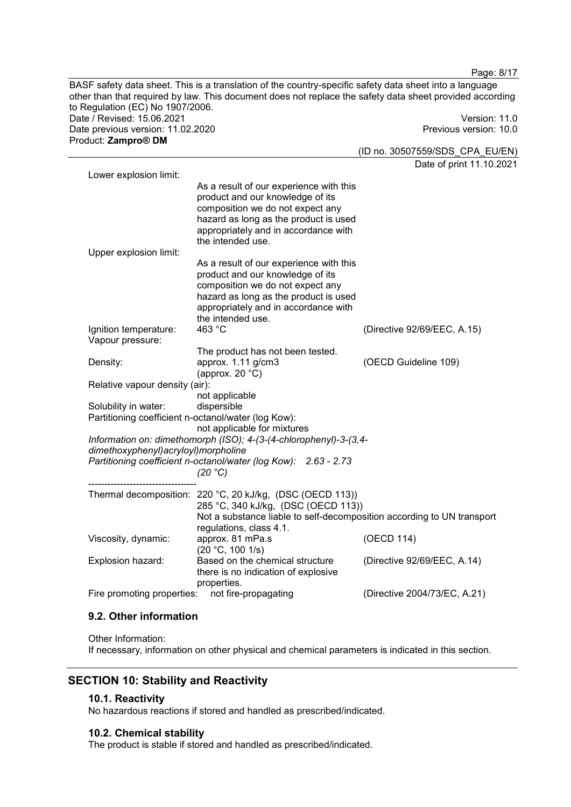Page: 8/17 BASF safety data sheet. This is a translation of the country-specific safety data sheet into a language other than that required by law. This document does not replace the safety data sheet provided according to Regulation (EC) No 1907/2006. Date / Revised: 15.06.2021 Version: 11.0 Date previous version: 11.02.2020 Previous version: 10.0 Product: **Zampro® DM**  (ID no. 30507559/SDS\_CPA\_EU/EN) Date of print 11.10.2021 Lower explosion limit: As a result of our experience with this product and our knowledge of its composition we do not expect any

hazard as long as the product is used appropriately and in accordance with the intended use. Upper explosion limit: As a result of our experience with this product and our knowledge of its composition we do not expect any hazard as long as the product is used appropriately and in accordance with the intended use. Ignition temperature: 463 °C (Directive 92/69/EEC, A.15) Vapour pressure: The product has not been tested. Density: approx. 1.11 g/cm3 (approx. 20 °C) (OECD Guideline 109) Relative vapour density (air): not applicable Solubility in water: dispersible Partitioning coefficient n-octanol/water (log Kow): not applicable for mixtures *Information on: dimethomorph (ISO); 4-(3-(4-chlorophenyl)-3-(3,4 dimethoxyphenyl)acryloyl)morpholine Partitioning coefficient n-octanol/water (log Kow): 2.63 - 2.73 (20 °C)*  ---------------------------------- Thermal decomposition: 220 °C, 20 kJ/kg, (DSC (OECD 113)) 285 °C, 340 kJ/kg, (DSC (OECD 113)) Not a substance liable to self-decomposition according to UN transport regulations, class 4.1. Viscosity, dynamic: approx. 81 mPa.s (20 °C, 100 1/s) (OECD 114) Explosion hazard: Based on the chemical structure there is no indication of explosive properties. (Directive 92/69/EEC, A.14) Fire promoting properties: not fire-propagating (Directive 2004/73/EC, A.21)

# **9.2. Other information**

Other Information: If necessary, information on other physical and chemical parameters is indicated in this section.

# **SECTION 10: Stability and Reactivity**

# **10.1. Reactivity**

No hazardous reactions if stored and handled as prescribed/indicated.

# **10.2. Chemical stability**

The product is stable if stored and handled as prescribed/indicated.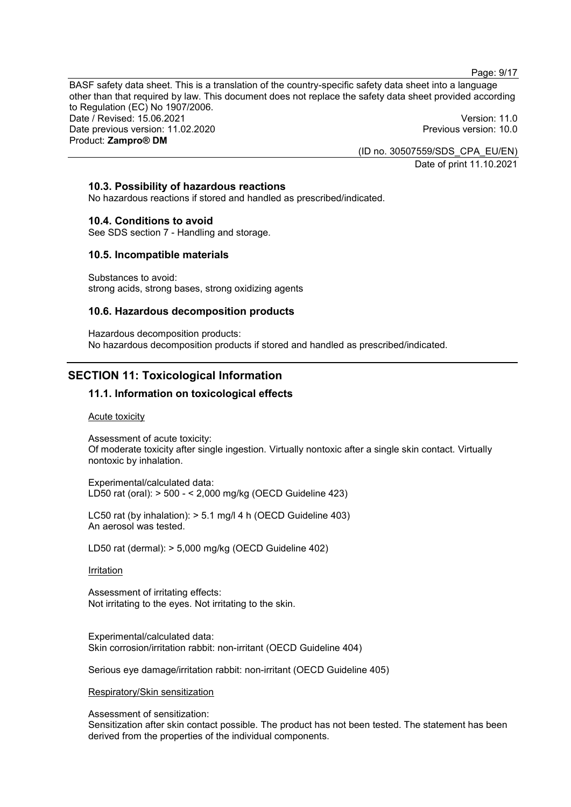Page: 9/17

BASF safety data sheet. This is a translation of the country-specific safety data sheet into a language other than that required by law. This document does not replace the safety data sheet provided according to Regulation (EC) No 1907/2006. Date / Revised: 15.06.2021 Version: 11.0 Date previous version: 11.02.2020 Previous version: 10.0 Product: **Zampro® DM** 

(ID no. 30507559/SDS\_CPA\_EU/EN) Date of print 11.10.2021

### **10.3. Possibility of hazardous reactions**

No hazardous reactions if stored and handled as prescribed/indicated.

#### **10.4. Conditions to avoid**

See SDS section 7 - Handling and storage.

#### **10.5. Incompatible materials**

Substances to avoid: strong acids, strong bases, strong oxidizing agents

### **10.6. Hazardous decomposition products**

Hazardous decomposition products: No hazardous decomposition products if stored and handled as prescribed/indicated.

# **SECTION 11: Toxicological Information**

# **11.1. Information on toxicological effects**

Acute toxicity

Assessment of acute toxicity: Of moderate toxicity after single ingestion. Virtually nontoxic after a single skin contact. Virtually nontoxic by inhalation.

Experimental/calculated data: LD50 rat (oral): > 500 - < 2,000 mg/kg (OECD Guideline 423)

LC50 rat (by inhalation): > 5.1 mg/l 4 h (OECD Guideline 403) An aerosol was tested.

LD50 rat (dermal): > 5,000 mg/kg (OECD Guideline 402)

#### **Irritation**

Assessment of irritating effects: Not irritating to the eyes. Not irritating to the skin.

Experimental/calculated data: Skin corrosion/irritation rabbit: non-irritant (OECD Guideline 404)

Serious eye damage/irritation rabbit: non-irritant (OECD Guideline 405)

#### Respiratory/Skin sensitization

Assessment of sensitization:

Sensitization after skin contact possible. The product has not been tested. The statement has been derived from the properties of the individual components.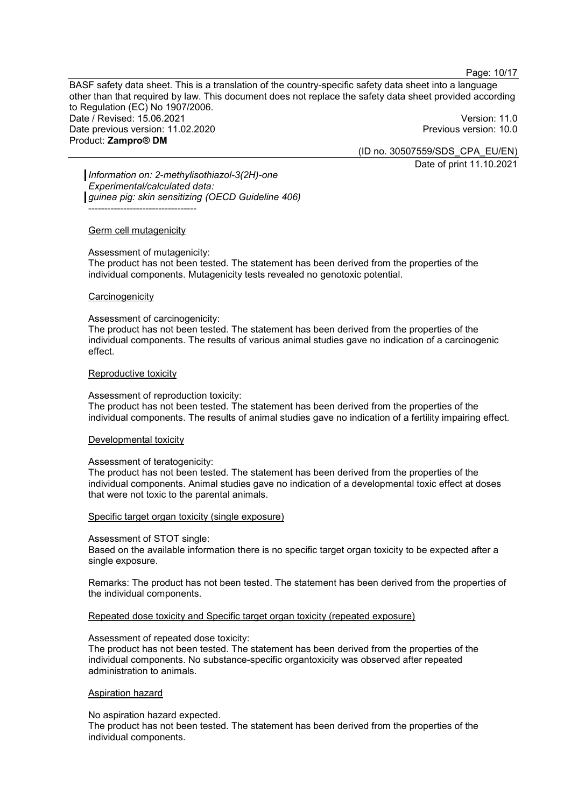Page: 10/17

BASF safety data sheet. This is a translation of the country-specific safety data sheet into a language other than that required by law. This document does not replace the safety data sheet provided according to Regulation (EC) No 1907/2006. Date / Revised: 15.06.2021 Version: 11.0 Date previous version: 11.02.2020 Previous version: 10.0 Product: **Zampro® DM** 

(ID no. 30507559/SDS\_CPA\_EU/EN) Date of print 11.10.2021

*Information on: 2-methylisothiazol-3(2H)-one Experimental/calculated data: guinea pig: skin sensitizing (OECD Guideline 406)* ----------------------------------

#### Germ cell mutagenicity

Assessment of mutagenicity: The product has not been tested. The statement has been derived from the properties of the individual components. Mutagenicity tests revealed no genotoxic potential.

#### **Carcinogenicity**

Assessment of carcinogenicity:

The product has not been tested. The statement has been derived from the properties of the individual components. The results of various animal studies gave no indication of a carcinogenic effect.

#### Reproductive toxicity

Assessment of reproduction toxicity:

The product has not been tested. The statement has been derived from the properties of the individual components. The results of animal studies gave no indication of a fertility impairing effect.

#### Developmental toxicity

#### Assessment of teratogenicity:

The product has not been tested. The statement has been derived from the properties of the individual components. Animal studies gave no indication of a developmental toxic effect at doses that were not toxic to the parental animals.

#### Specific target organ toxicity (single exposure)

#### Assessment of STOT single:

Based on the available information there is no specific target organ toxicity to be expected after a single exposure.

Remarks: The product has not been tested. The statement has been derived from the properties of the individual components.

#### Repeated dose toxicity and Specific target organ toxicity (repeated exposure)

#### Assessment of repeated dose toxicity:

The product has not been tested. The statement has been derived from the properties of the individual components. No substance-specific organtoxicity was observed after repeated administration to animals.

### Aspiration hazard

No aspiration hazard expected.

The product has not been tested. The statement has been derived from the properties of the individual components.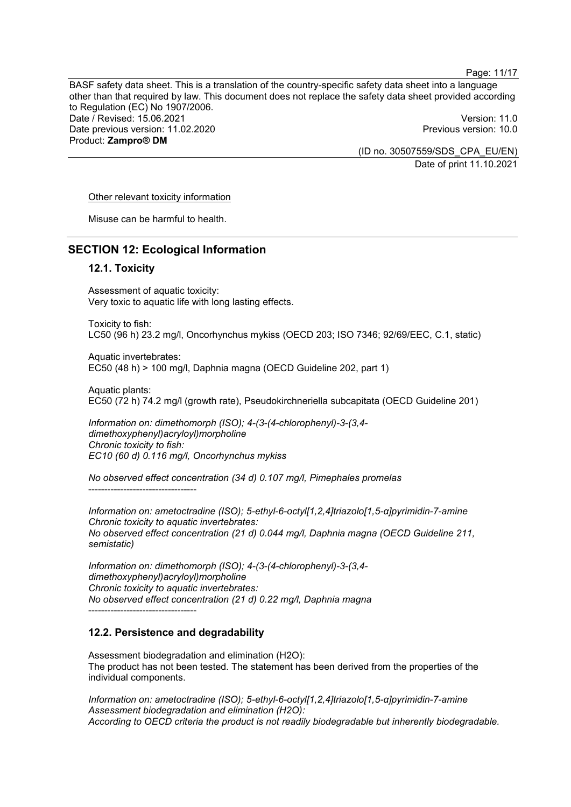Page: 11/17

BASF safety data sheet. This is a translation of the country-specific safety data sheet into a language other than that required by law. This document does not replace the safety data sheet provided according to Regulation (EC) No 1907/2006. Date / Revised: 15.06.2021 Version: 11.0 Date previous version: 11.02.2020 Previous version: 10.0 Product: **Zampro® DM** 

(ID no. 30507559/SDS\_CPA\_EU/EN)

Date of print 11.10.2021

#### Other relevant toxicity information

Misuse can be harmful to health.

# **SECTION 12: Ecological Information**

# **12.1. Toxicity**

Assessment of aquatic toxicity: Very toxic to aquatic life with long lasting effects.

Toxicity to fish: LC50 (96 h) 23.2 mg/l, Oncorhynchus mykiss (OECD 203; ISO 7346; 92/69/EEC, C.1, static)

Aquatic invertebrates: EC50 (48 h) > 100 mg/l, Daphnia magna (OECD Guideline 202, part 1)

Aquatic plants: EC50 (72 h) 74.2 mg/l (growth rate), Pseudokirchneriella subcapitata (OECD Guideline 201)

*Information on: dimethomorph (ISO); 4-(3-(4-chlorophenyl)-3-(3,4 dimethoxyphenyl)acryloyl)morpholine Chronic toxicity to fish: EC10 (60 d) 0.116 mg/l, Oncorhynchus mykiss* 

*No observed effect concentration (34 d) 0.107 mg/l, Pimephales promelas*  ----------------------------------

*Information on: ametoctradine (ISO); 5-ethyl-6-octyl[1,2,4]triazolo[1,5-α]pyrimidin-7-amine Chronic toxicity to aquatic invertebrates: No observed effect concentration (21 d) 0.044 mg/l, Daphnia magna (OECD Guideline 211, semistatic)* 

*Information on: dimethomorph (ISO); 4-(3-(4-chlorophenyl)-3-(3,4 dimethoxyphenyl)acryloyl)morpholine Chronic toxicity to aquatic invertebrates: No observed effect concentration (21 d) 0.22 mg/l, Daphnia magna*  ----------------------------------

### **12.2. Persistence and degradability**

Assessment biodegradation and elimination (H2O): The product has not been tested. The statement has been derived from the properties of the individual components.

*Information on: ametoctradine (ISO); 5-ethyl-6-octyl[1,2,4]triazolo[1,5-α]pyrimidin-7-amine Assessment biodegradation and elimination (H2O): According to OECD criteria the product is not readily biodegradable but inherently biodegradable.*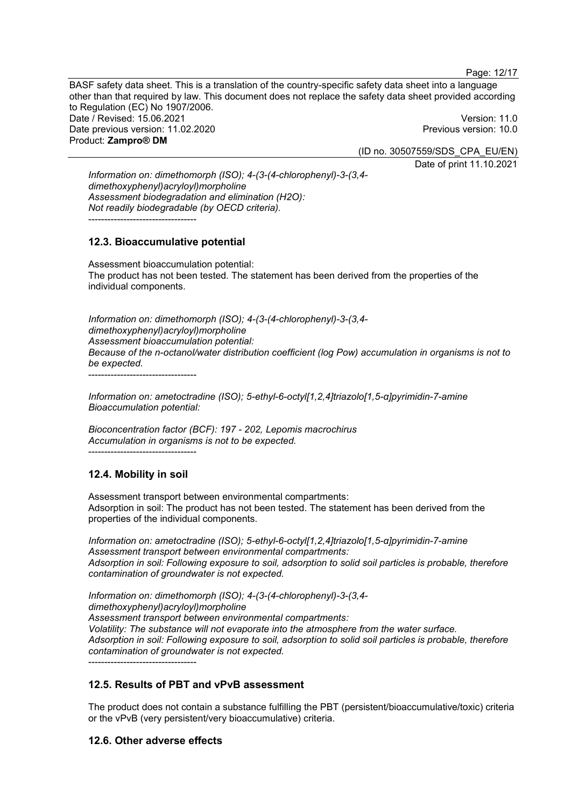BASF safety data sheet. This is a translation of the country-specific safety data sheet into a language other than that required by law. This document does not replace the safety data sheet provided according to Regulation (EC) No 1907/2006. Date / Revised: 15.06.2021 Version: 11.0 Date previous version: 11.02.2020 Previous version: 10.0 Product: **Zampro® DM** 

(ID no. 30507559/SDS\_CPA\_EU/EN) Date of print 11.10.2021

*Information on: dimethomorph (ISO); 4-(3-(4-chlorophenyl)-3-(3,4 dimethoxyphenyl)acryloyl)morpholine Assessment biodegradation and elimination (H2O): Not readily biodegradable (by OECD criteria).*  ----------------------------------

# **12.3. Bioaccumulative potential**

Assessment bioaccumulation potential: The product has not been tested. The statement has been derived from the properties of the individual components.

*Information on: dimethomorph (ISO); 4-(3-(4-chlorophenyl)-3-(3,4 dimethoxyphenyl)acryloyl)morpholine Assessment bioaccumulation potential: Because of the n-octanol/water distribution coefficient (log Pow) accumulation in organisms is not to be expected.* 

----------------------------------

*Information on: ametoctradine (ISO); 5-ethyl-6-octyl[1,2,4]triazolo[1,5-α]pyrimidin-7-amine Bioaccumulation potential:* 

*Bioconcentration factor (BCF): 197 - 202, Lepomis macrochirus Accumulation in organisms is not to be expected.*  ----------------------------------

# **12.4. Mobility in soil**

Assessment transport between environmental compartments: Adsorption in soil: The product has not been tested. The statement has been derived from the properties of the individual components.

*Information on: ametoctradine (ISO); 5-ethyl-6-octyl[1,2,4]triazolo[1,5-α]pyrimidin-7-amine Assessment transport between environmental compartments: Adsorption in soil: Following exposure to soil, adsorption to solid soil particles is probable, therefore contamination of groundwater is not expected.*

*Information on: dimethomorph (ISO); 4-(3-(4-chlorophenyl)-3-(3,4 dimethoxyphenyl)acryloyl)morpholine Assessment transport between environmental compartments: Volatility: The substance will not evaporate into the atmosphere from the water surface. Adsorption in soil: Following exposure to soil, adsorption to solid soil particles is probable, therefore contamination of groundwater is not expected.* ----------------------------------

# **12.5. Results of PBT and vPvB assessment**

The product does not contain a substance fulfilling the PBT (persistent/bioaccumulative/toxic) criteria or the vPvB (very persistent/very bioaccumulative) criteria.

# **12.6. Other adverse effects**

Page: 12/17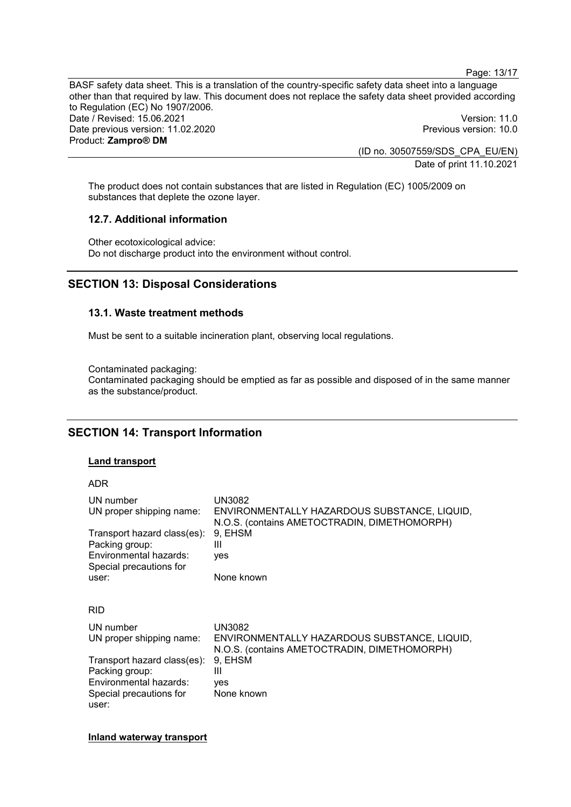Page: 13/17

BASF safety data sheet. This is a translation of the country-specific safety data sheet into a language other than that required by law. This document does not replace the safety data sheet provided according to Regulation (EC) No 1907/2006. Date / Revised: 15.06.2021 Version: 11.0 Date previous version: 11.02.2020 **Previous version: 10.0** Previous version: 10.0 Product: **Zampro® DM**  (ID no. 30507559/SDS\_CPA\_EU/EN)

Date of print 11.10.2021

The product does not contain substances that are listed in Regulation (EC) 1005/2009 on substances that deplete the ozone layer.

# **12.7. Additional information**

Other ecotoxicological advice: Do not discharge product into the environment without control.

# **SECTION 13: Disposal Considerations**

### **13.1. Waste treatment methods**

Must be sent to a suitable incineration plant, observing local regulations.

Contaminated packaging: Contaminated packaging should be emptied as far as possible and disposed of in the same manner as the substance/product.

# **SECTION 14: Transport Information**

### **Land transport**

| ۰. |  |
|----|--|
|    |  |
|    |  |

| UN number                   | UN3082                                                                                       |
|-----------------------------|----------------------------------------------------------------------------------------------|
| UN proper shipping name:    | ENVIRONMENTALLY HAZARDOUS SUBSTANCE, LIQUID,<br>N.O.S. (contains AMETOCTRADIN, DIMETHOMORPH) |
| Transport hazard class(es): | 9. EHSM                                                                                      |
| Packing group:              | Ш                                                                                            |
| Environmental hazards:      | yes                                                                                          |
| Special precautions for     |                                                                                              |
| user:                       | None known                                                                                   |
|                             |                                                                                              |
| <b>RID</b>                  |                                                                                              |
| UN number                   | UN3082                                                                                       |
| UN proper shipping name:    | ENVIRONMENTALLY HAZARDOUS SUBSTANCE, LIQUID,<br>N.O.S. (contains AMETOCTRADIN, DIMETHOMORPH) |
| Transport hazard class(es): | 9, EHSM                                                                                      |
| Packing group:              | Ш                                                                                            |
| Environmental hazards:      | yes                                                                                          |
| Special precautions for     | None known                                                                                   |
| user:                       |                                                                                              |

**Inland waterway transport**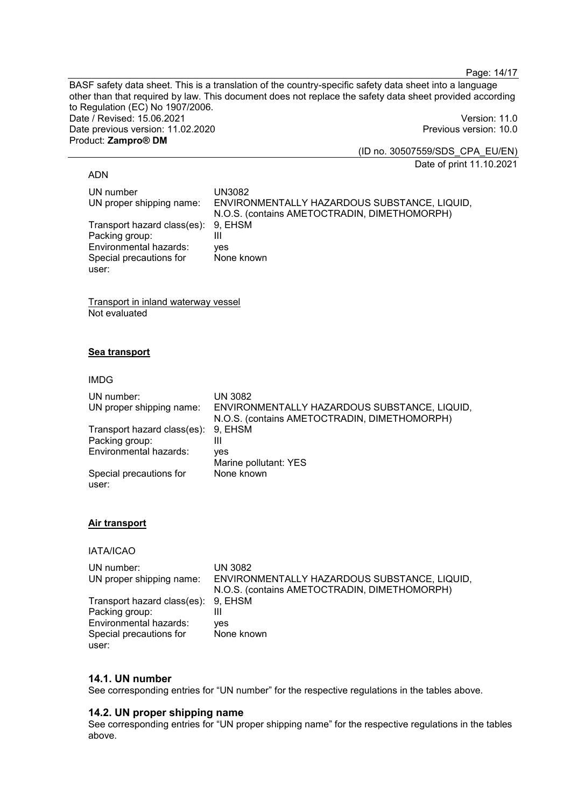Page: 14/17

BASF safety data sheet. This is a translation of the country-specific safety data sheet into a language other than that required by law. This document does not replace the safety data sheet provided according to Regulation (EC) No 1907/2006. Date / Revised: 15.06.2021 Version: 11.0 Date previous version: 11.02.2020 **Previous version: 10.0** Product: **Zampro® DM** 

(ID no. 30507559/SDS\_CPA\_EU/EN) Date of print 11.10.2021

#### ADN

| UN number                   | UN3082                                       |
|-----------------------------|----------------------------------------------|
| UN proper shipping name:    | ENVIRONMENTALLY HAZARDOUS SUBSTANCE, LIQUID, |
|                             | N.O.S. (contains AMETOCTRADIN, DIMETHOMORPH) |
| Transport hazard class(es): | 9. EHSM                                      |
| Packing group:              | Ш                                            |
| Environmental hazards:      | ves                                          |
| Special precautions for     | None known                                   |
| user:                       |                                              |

Transport in inland waterway vessel Not evaluated

# **Sea transport**

#### IMDG

| UN number:<br>UN proper shipping name:        | UN 3082<br>ENVIRONMENTALLY HAZARDOUS SUBSTANCE, LIQUID,<br>N.O.S. (contains AMETOCTRADIN, DIMETHOMORPH) |
|-----------------------------------------------|---------------------------------------------------------------------------------------------------------|
| Transport hazard class(es):<br>Packing group: | 9. EHSM<br>Ш                                                                                            |
| Environmental hazards:                        | ves<br>Marine pollutant: YES                                                                            |
| Special precautions for<br>user:              | None known                                                                                              |

### **Air transport**

IATA/ICAO

| UN number:                          | UN 3082                                      |
|-------------------------------------|----------------------------------------------|
| UN proper shipping name:            | ENVIRONMENTALLY HAZARDOUS SUBSTANCE, LIQUID, |
|                                     | N.O.S. (contains AMETOCTRADIN, DIMETHOMORPH) |
| Transport hazard class(es): 9, EHSM |                                              |
| Packing group:                      |                                              |
| Environmental hazards:              | ves                                          |
| Special precautions for             | None known                                   |
| user:                               |                                              |

# **14.1. UN number**

See corresponding entries for "UN number" for the respective regulations in the tables above.

# **14.2. UN proper shipping name**

See corresponding entries for "UN proper shipping name" for the respective regulations in the tables above.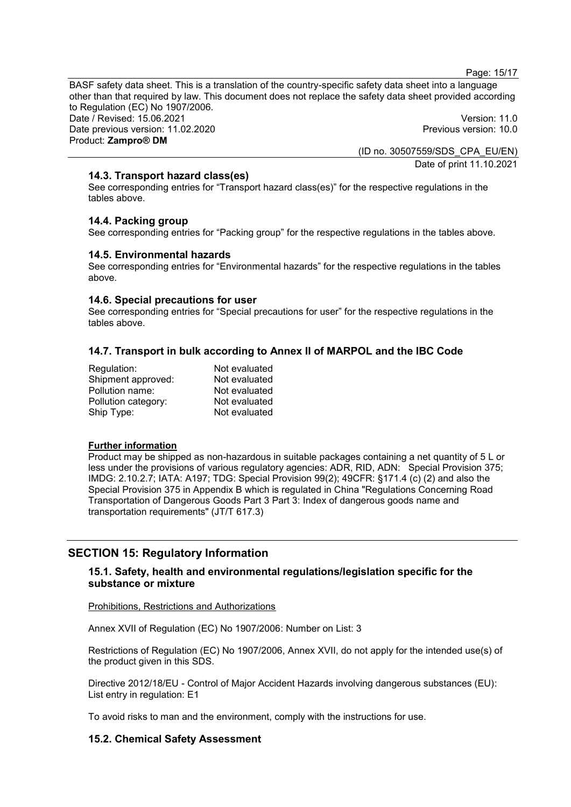Page: 15/17

BASF safety data sheet. This is a translation of the country-specific safety data sheet into a language other than that required by law. This document does not replace the safety data sheet provided according to Regulation (EC) No 1907/2006. Date / Revised: 15.06.2021 Version: 11.0 Date previous version: 11.02.2020 **Previous version: 10.0** Product: **Zampro® DM** 

(ID no. 30507559/SDS\_CPA\_EU/EN) Date of print 11.10.2021

# **14.3. Transport hazard class(es)**

See corresponding entries for "Transport hazard class(es)" for the respective regulations in the tables above.

# **14.4. Packing group**

See corresponding entries for "Packing group" for the respective regulations in the tables above.

### **14.5. Environmental hazards**

See corresponding entries for "Environmental hazards" for the respective regulations in the tables above.

### **14.6. Special precautions for user**

See corresponding entries for "Special precautions for user" for the respective regulations in the tables above.

# **14.7. Transport in bulk according to Annex II of MARPOL and the IBC Code**

| Regulation:         | Not evaluated |
|---------------------|---------------|
| Shipment approved:  | Not evaluated |
| Pollution name:     | Not evaluated |
| Pollution category: | Not evaluated |
| Ship Type:          | Not evaluated |

### **Further information**

Product may be shipped as non-hazardous in suitable packages containing a net quantity of 5 L or less under the provisions of various regulatory agencies: ADR, RID, ADN: Special Provision 375; IMDG: 2.10.2.7; IATA: A197; TDG: Special Provision 99(2); 49CFR: §171.4 (c) (2) and also the Special Provision 375 in Appendix B which is regulated in China "Regulations Concerning Road Transportation of Dangerous Goods Part 3 Part 3: Index of dangerous goods name and transportation requirements" (JT/T 617.3)

# **SECTION 15: Regulatory Information**

# **15.1. Safety, health and environmental regulations/legislation specific for the substance or mixture**

#### Prohibitions, Restrictions and Authorizations

Annex XVII of Regulation (EC) No 1907/2006: Number on List: 3

Restrictions of Regulation (EC) No 1907/2006, Annex XVII, do not apply for the intended use(s) of the product given in this SDS.

Directive 2012/18/EU - Control of Major Accident Hazards involving dangerous substances (EU): List entry in regulation: E1

To avoid risks to man and the environment, comply with the instructions for use.

### **15.2. Chemical Safety Assessment**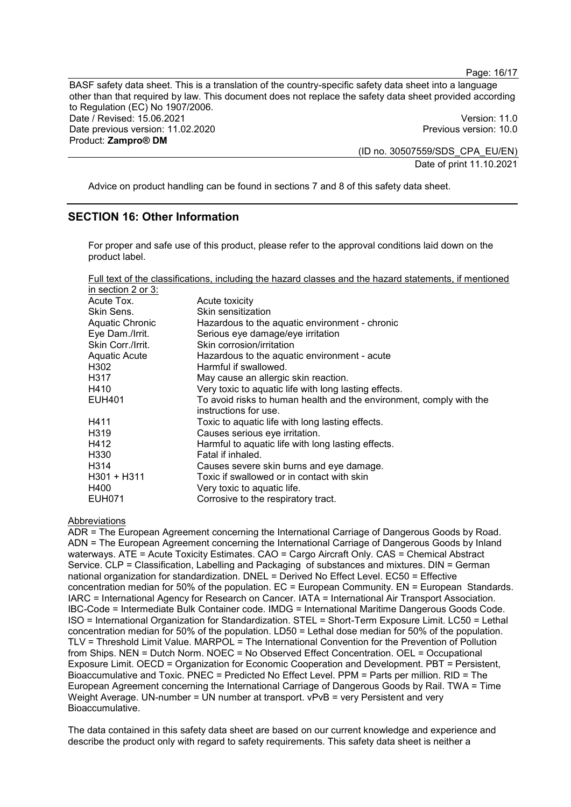BASF safety data sheet. This is a translation of the country-specific safety data sheet into a language other than that required by law. This document does not replace the safety data sheet provided according to Regulation (EC) No 1907/2006. Date / Revised: 15.06.2021 Version: 11.0 Date previous version: 11.02.2020 **Previous version: 10.0** Product: **Zampro® DM** 

(ID no. 30507559/SDS\_CPA\_EU/EN) Date of print 11.10.2021

Page: 16/17

Advice on product handling can be found in sections 7 and 8 of this safety data sheet.

# **SECTION 16: Other Information**

For proper and safe use of this product, please refer to the approval conditions laid down on the product label.

Full text of the classifications, including the hazard classes and the hazard statements, if mentioned

| in section 2 or 3:   |                                                                     |
|----------------------|---------------------------------------------------------------------|
| Acute Tox.           | Acute toxicity                                                      |
| Skin Sens.           | Skin sensitization                                                  |
| Aquatic Chronic      | Hazardous to the aquatic environment - chronic                      |
| Eye Dam./Irrit.      | Serious eye damage/eye irritation                                   |
| Skin Corr./Irrit.    | Skin corrosion/irritation                                           |
| <b>Aquatic Acute</b> | Hazardous to the aquatic environment - acute                        |
| H <sub>302</sub>     | Harmful if swallowed.                                               |
| H317                 | May cause an allergic skin reaction.                                |
| H410                 | Very toxic to aquatic life with long lasting effects.               |
| <b>EUH401</b>        | To avoid risks to human health and the environment, comply with the |
|                      | instructions for use.                                               |
| H411                 | Toxic to aquatic life with long lasting effects.                    |
| H <sub>3</sub> 19    | Causes serious eye irritation.                                      |
| H412                 | Harmful to aquatic life with long lasting effects.                  |
| H <sub>330</sub>     | Fatal if inhaled.                                                   |
| H <sub>3</sub> 14    | Causes severe skin burns and eye damage.                            |
| H301 + H311          | Toxic if swallowed or in contact with skin                          |
| H400                 | Very toxic to aquatic life.                                         |
| <b>EUH071</b>        | Corrosive to the respiratory tract.                                 |

Abbreviations

ADR = The European Agreement concerning the International Carriage of Dangerous Goods by Road. ADN = The European Agreement concerning the International Carriage of Dangerous Goods by Inland waterways. ATE = Acute Toxicity Estimates. CAO = Cargo Aircraft Only. CAS = Chemical Abstract Service. CLP = Classification, Labelling and Packaging of substances and mixtures. DIN = German national organization for standardization. DNEL = Derived No Effect Level. EC50 = Effective concentration median for 50% of the population. EC = European Community. EN = European Standards. IARC = International Agency for Research on Cancer. IATA = International Air Transport Association. IBC-Code = Intermediate Bulk Container code. IMDG = International Maritime Dangerous Goods Code. ISO = International Organization for Standardization. STEL = Short-Term Exposure Limit. LC50 = Lethal concentration median for 50% of the population. LD50 = Lethal dose median for 50% of the population. TLV = Threshold Limit Value. MARPOL = The International Convention for the Prevention of Pollution from Ships. NEN = Dutch Norm. NOEC = No Observed Effect Concentration. OEL = Occupational Exposure Limit. OECD = Organization for Economic Cooperation and Development. PBT = Persistent, Bioaccumulative and Toxic. PNEC = Predicted No Effect Level. PPM = Parts per million. RID = The European Agreement concerning the International Carriage of Dangerous Goods by Rail. TWA = Time Weight Average. UN-number = UN number at transport. vPvB = very Persistent and very Bioaccumulative.

The data contained in this safety data sheet are based on our current knowledge and experience and describe the product only with regard to safety requirements. This safety data sheet is neither a